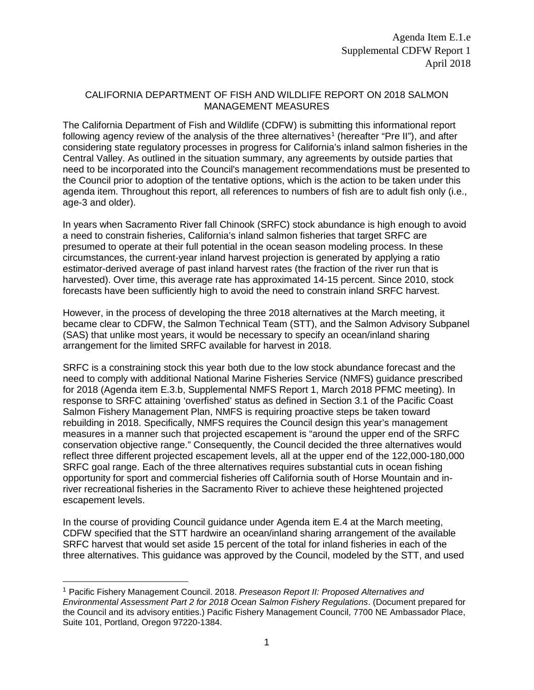## CALIFORNIA DEPARTMENT OF FISH AND WILDLIFE REPORT ON 2018 SALMON MANAGEMENT MEASURES

The California Department of Fish and Wildlife (CDFW) is submitting this informational report following agency review of the analysis of the three alternatives<sup>[1](#page-0-0)</sup> (hereafter "Pre II"), and after considering state regulatory processes in progress for California's inland salmon fisheries in the Central Valley. As outlined in the situation summary, any agreements by outside parties that need to be incorporated into the Council's management recommendations must be presented to the Council prior to adoption of the tentative options, which is the action to be taken under this agenda item. Throughout this report, all references to numbers of fish are to adult fish only (i.e., age-3 and older).

In years when Sacramento River fall Chinook (SRFC) stock abundance is high enough to avoid a need to constrain fisheries, California's inland salmon fisheries that target SRFC are presumed to operate at their full potential in the ocean season modeling process. In these circumstances, the current-year inland harvest projection is generated by applying a ratio estimator-derived average of past inland harvest rates (the fraction of the river run that is harvested). Over time, this average rate has approximated 14-15 percent. Since 2010, stock forecasts have been sufficiently high to avoid the need to constrain inland SRFC harvest.

However, in the process of developing the three 2018 alternatives at the March meeting, it became clear to CDFW, the Salmon Technical Team (STT), and the Salmon Advisory Subpanel (SAS) that unlike most years, it would be necessary to specify an ocean/inland sharing arrangement for the limited SRFC available for harvest in 2018.

SRFC is a constraining stock this year both due to the low stock abundance forecast and the need to comply with additional National Marine Fisheries Service (NMFS) guidance prescribed for 2018 (Agenda item E.3.b, Supplemental NMFS Report 1, March 2018 PFMC meeting). In response to SRFC attaining 'overfished' status as defined in Section 3.1 of the Pacific Coast Salmon Fishery Management Plan, NMFS is requiring proactive steps be taken toward rebuilding in 2018. Specifically, NMFS requires the Council design this year's management measures in a manner such that projected escapement is "around the upper end of the SRFC conservation objective range." Consequently, the Council decided the three alternatives would reflect three different projected escapement levels, all at the upper end of the 122,000-180,000 SRFC goal range. Each of the three alternatives requires substantial cuts in ocean fishing opportunity for sport and commercial fisheries off California south of Horse Mountain and inriver recreational fisheries in the Sacramento River to achieve these heightened projected escapement levels.

In the course of providing Council guidance under Agenda item E.4 at the March meeting, CDFW specified that the STT hardwire an ocean/inland sharing arrangement of the available SRFC harvest that would set aside 15 percent of the total for inland fisheries in each of the three alternatives. This guidance was approved by the Council, modeled by the STT, and used

<span id="page-0-0"></span> <sup>1</sup> Pacific Fishery Management Council. 2018. *Preseason Report II: Proposed Alternatives and Environmental Assessment Part 2 for 2018 Ocean Salmon Fishery Regulations*. (Document prepared for the Council and its advisory entities.) Pacific Fishery Management Council, 7700 NE Ambassador Place, Suite 101, Portland, Oregon 97220-1384.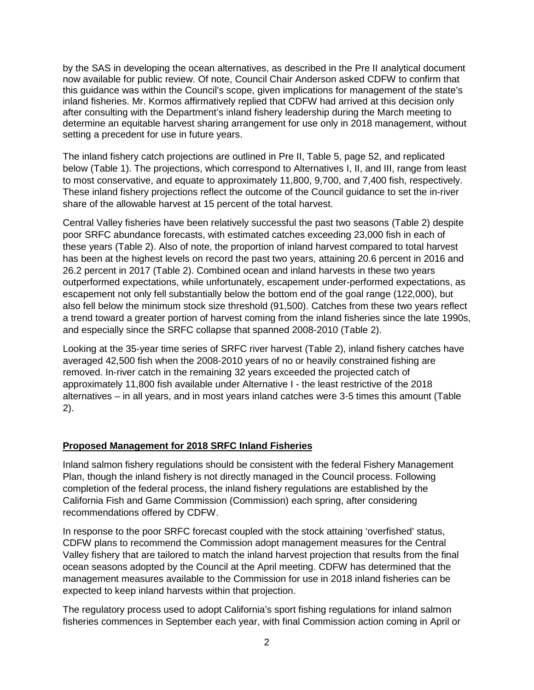by the SAS in developing the ocean alternatives, as described in the Pre II analytical document now available for public review. Of note, Council Chair Anderson asked CDFW to confirm that this guidance was within the Council's scope, given implications for management of the state's inland fisheries. Mr. Kormos affirmatively replied that CDFW had arrived at this decision only after consulting with the Department's inland fishery leadership during the March meeting to determine an equitable harvest sharing arrangement for use only in 2018 management, without setting a precedent for use in future years.

The inland fishery catch projections are outlined in Pre II, Table 5, page 52, and replicated below (Table 1). The projections, which correspond to Alternatives I, II, and III, range from least to most conservative, and equate to approximately 11,800, 9,700, and 7,400 fish, respectively. These inland fishery projections reflect the outcome of the Council guidance to set the in-river share of the allowable harvest at 15 percent of the total harvest.

Central Valley fisheries have been relatively successful the past two seasons (Table 2) despite poor SRFC abundance forecasts, with estimated catches exceeding 23,000 fish in each of these years (Table 2). Also of note, the proportion of inland harvest compared to total harvest has been at the highest levels on record the past two years, attaining 20.6 percent in 2016 and 26.2 percent in 2017 (Table 2). Combined ocean and inland harvests in these two years outperformed expectations, while unfortunately, escapement under-performed expectations, as escapement not only fell substantially below the bottom end of the goal range (122,000), but also fell below the minimum stock size threshold (91,500). Catches from these two years reflect a trend toward a greater portion of harvest coming from the inland fisheries since the late 1990s, and especially since the SRFC collapse that spanned 2008-2010 (Table 2).

Looking at the 35-year time series of SRFC river harvest (Table 2), inland fishery catches have averaged 42,500 fish when the 2008-2010 years of no or heavily constrained fishing are removed. In-river catch in the remaining 32 years exceeded the projected catch of approximately 11,800 fish available under Alternative I - the least restrictive of the 2018 alternatives – in all years, and in most years inland catches were 3-5 times this amount (Table 2).

## **Proposed Management for 2018 SRFC Inland Fisheries**

Inland salmon fishery regulations should be consistent with the federal Fishery Management Plan, though the inland fishery is not directly managed in the Council process. Following completion of the federal process, the inland fishery regulations are established by the California Fish and Game Commission (Commission) each spring, after considering recommendations offered by CDFW.

In response to the poor SRFC forecast coupled with the stock attaining 'overfished' status, CDFW plans to recommend the Commission adopt management measures for the Central Valley fishery that are tailored to match the inland harvest projection that results from the final ocean seasons adopted by the Council at the April meeting. CDFW has determined that the management measures available to the Commission for use in 2018 inland fisheries can be expected to keep inland harvests within that projection.

The regulatory process used to adopt California's sport fishing regulations for inland salmon fisheries commences in September each year, with final Commission action coming in April or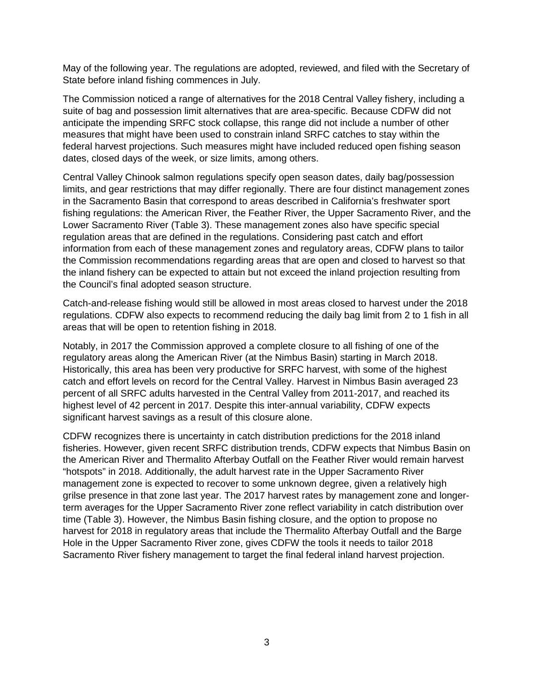May of the following year. The regulations are adopted, reviewed, and filed with the Secretary of State before inland fishing commences in July.

The Commission noticed a range of alternatives for the 2018 Central Valley fishery, including a suite of bag and possession limit alternatives that are area-specific. Because CDFW did not anticipate the impending SRFC stock collapse, this range did not include a number of other measures that might have been used to constrain inland SRFC catches to stay within the federal harvest projections. Such measures might have included reduced open fishing season dates, closed days of the week, or size limits, among others.

Central Valley Chinook salmon regulations specify open season dates, daily bag/possession limits, and gear restrictions that may differ regionally. There are four distinct management zones in the Sacramento Basin that correspond to areas described in California's freshwater sport fishing regulations: the American River, the Feather River, the Upper Sacramento River, and the Lower Sacramento River (Table 3). These management zones also have specific special regulation areas that are defined in the regulations. Considering past catch and effort information from each of these management zones and regulatory areas, CDFW plans to tailor the Commission recommendations regarding areas that are open and closed to harvest so that the inland fishery can be expected to attain but not exceed the inland projection resulting from the Council's final adopted season structure.

Catch-and-release fishing would still be allowed in most areas closed to harvest under the 2018 regulations. CDFW also expects to recommend reducing the daily bag limit from 2 to 1 fish in all areas that will be open to retention fishing in 2018.

Notably, in 2017 the Commission approved a complete closure to all fishing of one of the regulatory areas along the American River (at the Nimbus Basin) starting in March 2018. Historically, this area has been very productive for SRFC harvest, with some of the highest catch and effort levels on record for the Central Valley. Harvest in Nimbus Basin averaged 23 percent of all SRFC adults harvested in the Central Valley from 2011-2017, and reached its highest level of 42 percent in 2017. Despite this inter-annual variability, CDFW expects significant harvest savings as a result of this closure alone.

CDFW recognizes there is uncertainty in catch distribution predictions for the 2018 inland fisheries. However, given recent SRFC distribution trends, CDFW expects that Nimbus Basin on the American River and Thermalito Afterbay Outfall on the Feather River would remain harvest "hotspots" in 2018. Additionally, the adult harvest rate in the Upper Sacramento River management zone is expected to recover to some unknown degree, given a relatively high grilse presence in that zone last year. The 2017 harvest rates by management zone and longerterm averages for the Upper Sacramento River zone reflect variability in catch distribution over time (Table 3). However, the Nimbus Basin fishing closure, and the option to propose no harvest for 2018 in regulatory areas that include the Thermalito Afterbay Outfall and the Barge Hole in the Upper Sacramento River zone, gives CDFW the tools it needs to tailor 2018 Sacramento River fishery management to target the final federal inland harvest projection.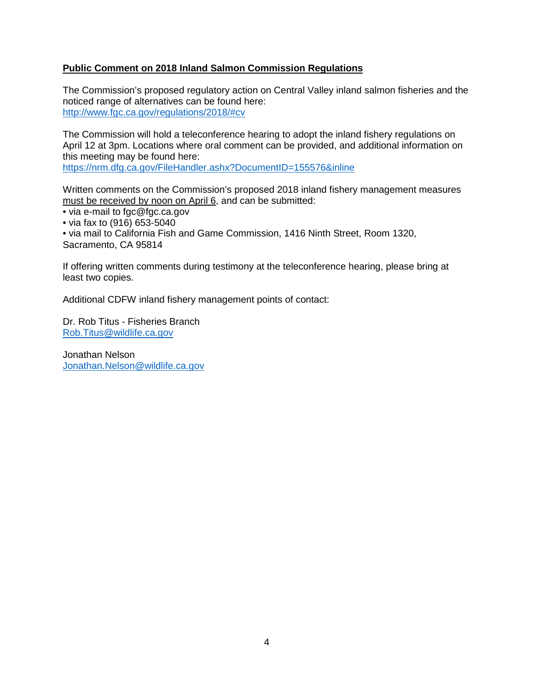## **Public Comment on 2018 Inland Salmon Commission Regulations**

The Commission's proposed regulatory action on Central Valley inland salmon fisheries and the noticed range of alternatives can be found here: <http://www.fgc.ca.gov/regulations/2018/#cv>

The Commission will hold a teleconference hearing to adopt the inland fishery regulations on April 12 at 3pm. Locations where oral comment can be provided, and additional information on this meeting may be found here:

<https://nrm.dfg.ca.gov/FileHandler.ashx?DocumentID=155576&inline>

Written comments on the Commission's proposed 2018 inland fishery management measures must be received by noon on April 6, and can be submitted:

• via e-mail to fgc@fgc.ca.gov

• via fax to (916) 653-5040

• via mail to California Fish and Game Commission, 1416 Ninth Street, Room 1320, Sacramento, CA 95814

If offering written comments during testimony at the teleconference hearing, please bring at least two copies.

Additional CDFW inland fishery management points of contact:

Dr. Rob Titus - Fisheries Branch [Rob.Titus@wildlife.ca.gov](mailto:Rob.Titus@wildlife.ca.gov)

Jonathan Nelson [Jonathan.Nelson@wildlife.ca.gov](mailto:Jonathan.Nelson@wildlife.ca.gov)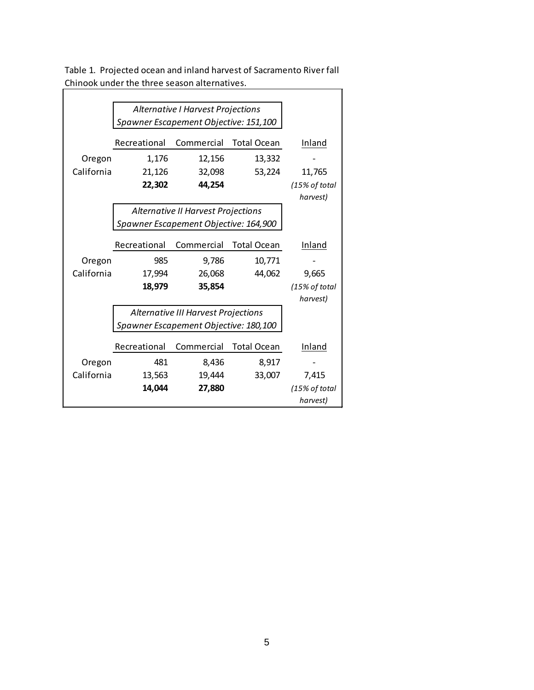|            | Alternative I Harvest Projections     |                                       |                    |               |
|------------|---------------------------------------|---------------------------------------|--------------------|---------------|
|            | Spawner Escapement Objective: 151,100 |                                       |                    |               |
|            |                                       |                                       |                    |               |
|            | Recreational                          | Commercial                            | Total Ocean        | Inland        |
| Oregon     | 1,176                                 | 12,156                                | 13,332             |               |
| California | 21,126                                | 32,098                                | 53,224             | 11,765        |
|            | 22,302                                | 44,254                                |                    | (15% of total |
|            |                                       |                                       |                    | harvest)      |
|            | Alternative II Harvest Projections    |                                       |                    |               |
|            |                                       | Spawner Escapement Objective: 164,900 |                    |               |
|            |                                       |                                       |                    |               |
|            | Recreational                          | Commercial                            | <b>Total Ocean</b> | Inland        |
| Oregon     | 985                                   | 9,786                                 | 10,771             |               |
| California | 17,994                                | 26,068                                | 44,062             | 9,665         |
|            | 18,979                                | 35,854                                |                    | (15% of total |
|            |                                       |                                       |                    | harvest)      |
|            | Alternative III Harvest Projections   |                                       |                    |               |
|            | Spawner Escapement Objective: 180,100 |                                       |                    |               |
|            |                                       |                                       |                    |               |
|            | Recreational                          | Commercial                            | <b>Total Ocean</b> | Inland        |
| Oregon     | 481                                   | 8,436                                 | 8,917              |               |
| California | 13,563                                | 19,444                                | 33,007             | 7,415         |
|            | 14,044                                | 27,880                                |                    | (15% of total |
|            |                                       |                                       |                    | harvest)      |

Table 1. Projected ocean and inland harvest of Sacramento River fall Chinook under the three season alternatives.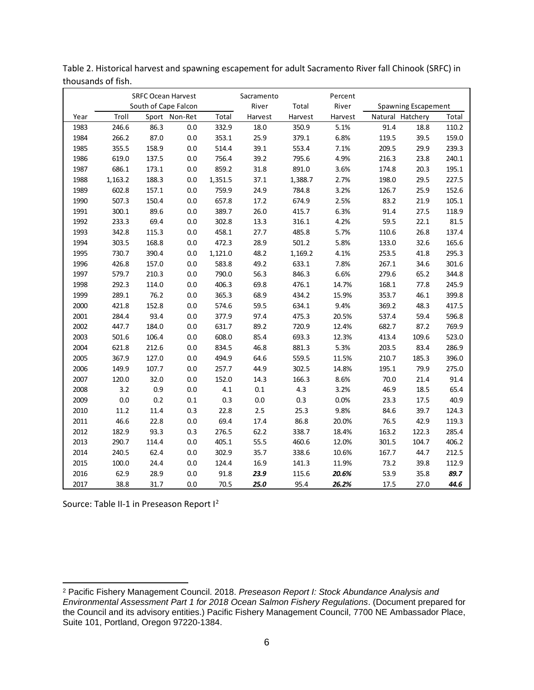|      |         |       | <b>SRFC Ocean Harvest</b> |         | Sacramento |         | Percent |                  |                            |       |
|------|---------|-------|---------------------------|---------|------------|---------|---------|------------------|----------------------------|-------|
|      |         |       | South of Cape Falcon      |         | River      | Total   | River   |                  | <b>Spawning Escapement</b> |       |
| Year | Troll   |       | Sport Non-Ret             | Total   | Harvest    | Harvest | Harvest | Natural Hatchery |                            | Total |
| 1983 | 246.6   | 86.3  | 0.0                       | 332.9   | 18.0       | 350.9   | 5.1%    | 91.4             | 18.8                       | 110.2 |
| 1984 | 266.2   | 87.0  | 0.0                       | 353.1   | 25.9       | 379.1   | 6.8%    | 119.5            | 39.5                       | 159.0 |
| 1985 | 355.5   | 158.9 | 0.0                       | 514.4   | 39.1       | 553.4   | 7.1%    | 209.5            | 29.9                       | 239.3 |
| 1986 | 619.0   | 137.5 | 0.0                       | 756.4   | 39.2       | 795.6   | 4.9%    | 216.3            | 23.8                       | 240.1 |
| 1987 | 686.1   | 173.1 | 0.0                       | 859.2   | 31.8       | 891.0   | 3.6%    | 174.8            | 20.3                       | 195.1 |
| 1988 | 1,163.2 | 188.3 | 0.0                       | 1,351.5 | 37.1       | 1,388.7 | 2.7%    | 198.0            | 29.5                       | 227.5 |
| 1989 | 602.8   | 157.1 | 0.0                       | 759.9   | 24.9       | 784.8   | 3.2%    | 126.7            | 25.9                       | 152.6 |
| 1990 | 507.3   | 150.4 | 0.0                       | 657.8   | 17.2       | 674.9   | 2.5%    | 83.2             | 21.9                       | 105.1 |
| 1991 | 300.1   | 89.6  | 0.0                       | 389.7   | 26.0       | 415.7   | 6.3%    | 91.4             | 27.5                       | 118.9 |
| 1992 | 233.3   | 69.4  | 0.0                       | 302.8   | 13.3       | 316.1   | 4.2%    | 59.5             | 22.1                       | 81.5  |
| 1993 | 342.8   | 115.3 | 0.0                       | 458.1   | 27.7       | 485.8   | 5.7%    | 110.6            | 26.8                       | 137.4 |
| 1994 | 303.5   | 168.8 | $0.0\,$                   | 472.3   | 28.9       | 501.2   | 5.8%    | 133.0            | 32.6                       | 165.6 |
| 1995 | 730.7   | 390.4 | $0.0\,$                   | 1,121.0 | 48.2       | 1,169.2 | 4.1%    | 253.5            | 41.8                       | 295.3 |
| 1996 | 426.8   | 157.0 | 0.0                       | 583.8   | 49.2       | 633.1   | 7.8%    | 267.1            | 34.6                       | 301.6 |
| 1997 | 579.7   | 210.3 | 0.0                       | 790.0   | 56.3       | 846.3   | 6.6%    | 279.6            | 65.2                       | 344.8 |
| 1998 | 292.3   | 114.0 | 0.0                       | 406.3   | 69.8       | 476.1   | 14.7%   | 168.1            | 77.8                       | 245.9 |
| 1999 | 289.1   | 76.2  | $0.0\,$                   | 365.3   | 68.9       | 434.2   | 15.9%   | 353.7            | 46.1                       | 399.8 |
| 2000 | 421.8   | 152.8 | $0.0\,$                   | 574.6   | 59.5       | 634.1   | 9.4%    | 369.2            | 48.3                       | 417.5 |
| 2001 | 284.4   | 93.4  | $0.0\,$                   | 377.9   | 97.4       | 475.3   | 20.5%   | 537.4            | 59.4                       | 596.8 |
| 2002 | 447.7   | 184.0 | $0.0\,$                   | 631.7   | 89.2       | 720.9   | 12.4%   | 682.7            | 87.2                       | 769.9 |
| 2003 | 501.6   | 106.4 | $0.0\,$                   | 608.0   | 85.4       | 693.3   | 12.3%   | 413.4            | 109.6                      | 523.0 |
| 2004 | 621.8   | 212.6 | 0.0                       | 834.5   | 46.8       | 881.3   | 5.3%    | 203.5            | 83.4                       | 286.9 |
| 2005 | 367.9   | 127.0 | 0.0                       | 494.9   | 64.6       | 559.5   | 11.5%   | 210.7            | 185.3                      | 396.0 |
| 2006 | 149.9   | 107.7 | 0.0                       | 257.7   | 44.9       | 302.5   | 14.8%   | 195.1            | 79.9                       | 275.0 |
| 2007 | 120.0   | 32.0  | $0.0\,$                   | 152.0   | 14.3       | 166.3   | 8.6%    | 70.0             | 21.4                       | 91.4  |
| 2008 | 3.2     | 0.9   | $0.0\,$                   | 4.1     | $0.1\,$    | 4.3     | 3.2%    | 46.9             | 18.5                       | 65.4  |
| 2009 | $0.0\,$ | 0.2   | 0.1                       | 0.3     | $0.0\,$    | 0.3     | 0.0%    | 23.3             | 17.5                       | 40.9  |
| 2010 | 11.2    | 11.4  | 0.3                       | 22.8    | 2.5        | 25.3    | 9.8%    | 84.6             | 39.7                       | 124.3 |
| 2011 | 46.6    | 22.8  | 0.0                       | 69.4    | 17.4       | 86.8    | 20.0%   | 76.5             | 42.9                       | 119.3 |
| 2012 | 182.9   | 93.3  | 0.3                       | 276.5   | 62.2       | 338.7   | 18.4%   | 163.2            | 122.3                      | 285.4 |
| 2013 | 290.7   | 114.4 | 0.0                       | 405.1   | 55.5       | 460.6   | 12.0%   | 301.5            | 104.7                      | 406.2 |
| 2014 | 240.5   | 62.4  | 0.0                       | 302.9   | 35.7       | 338.6   | 10.6%   | 167.7            | 44.7                       | 212.5 |
| 2015 | 100.0   | 24.4  | 0.0                       | 124.4   | 16.9       | 141.3   | 11.9%   | 73.2             | 39.8                       | 112.9 |
| 2016 | 62.9    | 28.9  | 0.0                       | 91.8    | 23.9       | 115.6   | 20.6%   | 53.9             | 35.8                       | 89.7  |
| 2017 | 38.8    | 31.7  | 0.0                       | 70.5    | 25.0       | 95.4    | 26.2%   | 17.5             | 27.0                       | 44.6  |

Table 2. Historical harvest and spawning escapement for adult Sacramento River fall Chinook (SRFC) in thousands of fish.

Source: Table II-1 in Preseason Report I<sup>[2](#page-5-0)</sup>

<span id="page-5-0"></span> Pacific Fishery Management Council. 2018. *Preseason Report I: Stock Abundance Analysis and Environmental Assessment Part 1 for 2018 Ocean Salmon Fishery Regulations*. (Document prepared for the Council and its advisory entities.) Pacific Fishery Management Council, 7700 NE Ambassador Place, Suite 101, Portland, Oregon 97220-1384.